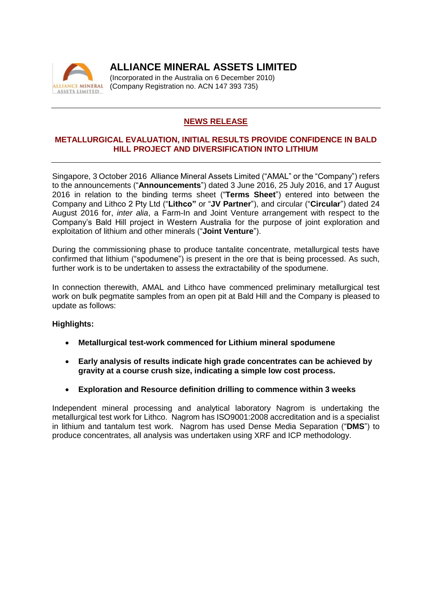

**ALLIANCE MINERAL ASSETS LIMITED**

(Incorporated in the Australia on 6 December 2010) (Company Registration no. ACN 147 393 735)

## **NEWS RELEASE**

### **METALLURGICAL EVALUATION, INITIAL RESULTS PROVIDE CONFIDENCE IN BALD HILL PROJECT AND DIVERSIFICATION INTO LITHIUM**

Singapore, 3 October 2016 Alliance Mineral Assets Limited ("AMAL" or the "Company") refers to the announcements ("**Announcements**") dated 3 June 2016, 25 July 2016, and 17 August 2016 in relation to the binding terms sheet ("**Terms Sheet**") entered into between the Company and Lithco 2 Pty Ltd ("**Lithco"** or "**JV Partner**"), and circular ("**Circular**") dated 24 August 2016 for, *inter alia*, a Farm-In and Joint Venture arrangement with respect to the Company's Bald Hill project in Western Australia for the purpose of joint exploration and exploitation of lithium and other minerals ("**Joint Venture**").

During the commissioning phase to produce tantalite concentrate, metallurgical tests have confirmed that lithium ("spodumene") is present in the ore that is being processed. As such, further work is to be undertaken to assess the extractability of the spodumene.

In connection therewith, AMAL and Lithco have commenced preliminary metallurgical test work on bulk pegmatite samples from an open pit at Bald Hill and the Company is pleased to update as follows:

#### **Highlights:**

- **Metallurgical test-work commenced for Lithium mineral spodumene**
- **Early analysis of results indicate high grade concentrates can be achieved by gravity at a course crush size, indicating a simple low cost process.**
- **Exploration and Resource definition drilling to commence within 3 weeks**

Independent mineral processing and analytical laboratory Nagrom is undertaking the metallurgical test work for Lithco. Nagrom has ISO9001:2008 accreditation and is a specialist in lithium and tantalum test work. Nagrom has used Dense Media Separation ("**DMS**") to produce concentrates, all analysis was undertaken using XRF and ICP methodology.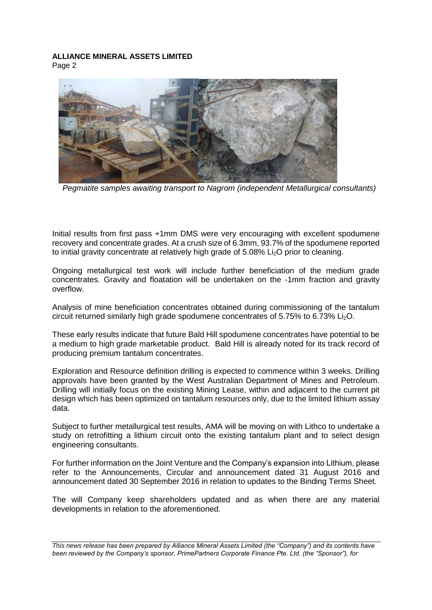# **ALLIANCE MINERAL ASSETS LIMITED**

Page 2



*Pegmatite samples awaiting transport to Nagrom (independent Metallurgical consultants)* 

Initial results from first pass +1mm DMS were very encouraging with excellent spodumene recovery and concentrate grades. At a crush size of 6.3mm, 93.7% of the spodumene reported to initial gravity concentrate at relatively high grade of 5.08% Li<sub>2</sub>O prior to cleaning.

Ongoing metallurgical test work will include further beneficiation of the medium grade concentrates. Gravity and floatation will be undertaken on the -1mm fraction and gravity overflow.

Analysis of mine beneficiation concentrates obtained during commissioning of the tantalum circuit returned similarly high grade spodumene concentrates of 5.75% to 6.73% Li2O.

These early results indicate that future Bald Hill spodumene concentrates have potential to be a medium to high grade marketable product. Bald Hill is already noted for its track record of producing premium tantalum concentrates.

Exploration and Resource definition drilling is expected to commence within 3 weeks. Drilling approvals have been granted by the West Australian Department of Mines and Petroleum. Drilling will initially focus on the existing Mining Lease, within and adjacent to the current pit design which has been optimized on tantalum resources only, due to the limited lithium assay data.

Subject to further metallurgical test results, AMA will be moving on with Lithco to undertake a study on retrofitting a lithium circuit onto the existing tantalum plant and to select design engineering consultants.

For further information on the Joint Venture and the Company's expansion into Lithium, please refer to the Announcements, Circular and announcement dated 31 August 2016 and announcement dated 30 September 2016 in relation to updates to the Binding Terms Sheet.

The will Company keep shareholders updated and as when there are any material developments in relation to the aforementioned.

*This news release has been prepared by Alliance Mineral Assets Limited (the "Company") and its contents have been reviewed by the Company's sponsor, PrimePartners Corporate Finance Pte. Ltd. (the "Sponsor"), for*